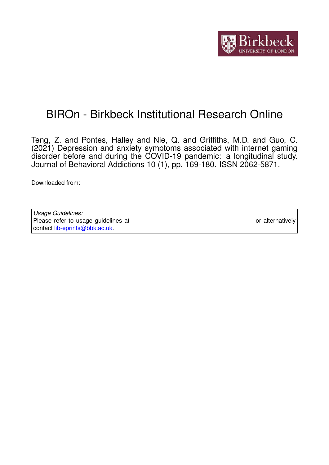

# BIROn - Birkbeck Institutional Research Online

Teng, Z. and Pontes, Halley and Nie, Q. and Griffiths, M.D. and Guo, C. (2021) Depression and anxiety symptoms associated with internet gaming disorder before and during the COVID-19 pandemic: a longitudinal study. Journal of Behavioral Addictions 10 (1), pp. 169-180. ISSN 2062-5871.

Downloaded from: <https://eprints.bbk.ac.uk/id/eprint/44262/>

| Usage Guidelines:                                                           |                  |
|-----------------------------------------------------------------------------|------------------|
| Please refer to usage guidelines at https://eprints.bbk.ac.uk/policies.html | or alternatively |
| contact lib-eprints@bbk.ac.uk                                               |                  |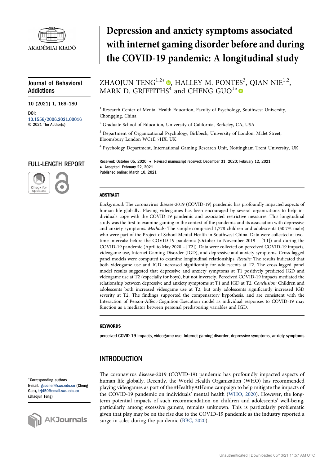

# Journal of Behavioral Addictions

10 (2021) 1, 169–180

DOI: [10.1556/2006.2021.00016](http://dx.doi.org/10.1556/2006.2021.00016) © 2021 The Author(s)

# Depression and anxiety symptoms associated with internet gaming disorder before and during the COVID-19 pandemic: A longitudinal study

# ZHAOJUN TENG $^{1,2*}$  . HALLEY M. PONTES<sup>3</sup>, QIAN NIE<sup>1,2</sup>, MARK D. GRIFFITHS<sup>4</sup> and CHENG GUO<sup>1\*</sup>

<sup>1</sup> Research Center of Mental Health Education, Faculty of Psychology, Southwest University, Chongqing, China

<sup>2</sup> Graduate School of Education, University of California, Berkeley, CA, USA

<sup>3</sup> Department of Organizational Psychology, Birkbeck, University of London, Malet Street, Bloomsbury London WC1E 7HX, UK

<sup>4</sup> Psychology Department, International Gaming Research Unit, Nottingham Trent University, UK

# FULL-LENGTH REPORT



Received: October 05, 2020 • Revised manuscript received: December 31, 2020; February 12, 2021 • Accepted: February 22, 2021 Published online: March 10, 2021

### ABSTRACT

Background: The coronavirus disease-2019 (COVID-19) pandemic has profoundly impacted aspects of human life globally. Playing videogames has been encouraged by several organizations to help individuals cope with the COVID-19 pandemic and associated restrictive measures. This longitudinal study was the first to examine gaming in the context of the pandemic and its association with depressive and anxiety symptoms. Methods: The sample comprised 1,778 children and adolescents (50.7% male) who were part of the Project of School Mental Health in Southwest China. Data were collected at twotime intervals: before the COVID-19 pandemic (October to November 2019 – [T1]) and during the COVID-19 pandemic (April to May 2020 – [T2]). Data were collected on perceived COVID-19 impacts, videogame use, Internet Gaming Disorder (IGD), and depressive and anxiety symptoms. Cross-lagged panel models were computed to examine longitudinal relationships. Results: The results indicated that both videogame use and IGD increased significantly for adolescents at T2. The cross-lagged panel model results suggested that depressive and anxiety symptoms at T1 positively predicted IGD and videogame use at T2 (especially for boys), but not inversely. Perceived COVID-19 impacts mediated the relationship between depressive and anxiety symptoms at T1 and IGD at T2. Conclusion: Children and adolescents both increased videogame use at T2, but only adolescents significantly increased IGD severity at T2. The findings supported the compensatory hypothesis, and are consistent with the Interaction of Person-Affect-Cognition-Execution model as individual responses to COVID-19 may function as a mediator between personal predisposing variables and IGD.

#### **KEYWORDS**

perceived COVID-19 impacts, videogame use, Internet gaming disorder, depressive symptoms, anxiety symptoms

# INTRODUCTION

\*Corresponding authors. E-mail: [guochen@swu.edu.cn](mailto:guochen@swu.edu.cn) (Cheng Guo), [tzj450@email.swu.edu.cn](mailto:tzj450@email.swu.edu.cn) (Zhaojun Teng)



The coronavirus disease-2019 (COVID-19) pandemic has profoundly impacted aspects of human life globally. Recently, the World Health Organization (WHO) has recommended playing videogames as part of the #HealthyAtHome campaign to help mitigate the impacts of the COVID-19 pandemic on individuals' mental health ([WHO, 2020](#page-12-0)). However, the longterm potential impacts of such recommendation on children and adolescents' well-being, particularly among excessive gamers, remains unknown. This is particularly problematic given that play may be on the rise due to the COVID-19 pandemic as the industry reported a surge in sales during the pandemic [\(BBC, 2020](#page-10-0)).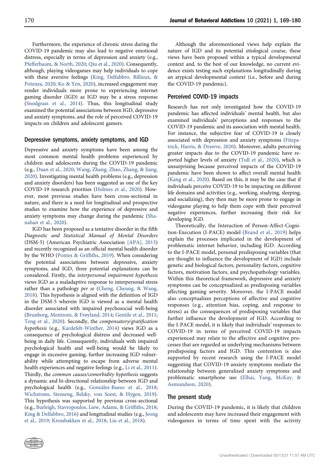Furthermore, the experience of chronic stress during the COVID-19 pandemic may also lead to negative emotional distress, especially in terms of depression and anxiety (e.g., [Pfefferbaum, & North, 2020;](#page-11-0) [Qiu et al., 2020](#page-12-1)). Consequently, although, playing videogames may help individuals to cope with these aversive feelings ([King, Delfabbro, Billieux, &](#page-11-1) [Potenza, 2020](#page-11-1); [Ko & Yen, 2020](#page-11-2)), increased engagement may render individuals more prone to experiencing internet gaming disorder (IGD) as IGD may be a stress response ([Snodgrass et al., 2014\)](#page-12-2). Thus, this longitudinal study examined the potential associations between IGD, depressive and anxiety symptoms, and the role of perceived COVID-19 impacts on children and adolescent gamers.

#### Depressive symptoms, anxiety symptoms, and IGD

Depressive and anxiety symptoms have been among the most common mental health problems experienced by children and adolescents during the COVID-19 pandemic (e.g., [Duan et al., 2020](#page-10-1); [Wang, Zhang, Zhao, Zhang, & Jiang,](#page-12-3) [2020](#page-12-3)). Investigating mental health problems (e.g., depression and anxiety disorders) has been suggested as one of the key COVID-19 research priorities [\(Holmes et al., 2020](#page-11-3)). However, most previous studies have been cross-sectional in nature, and there is a need for longitudinal and prospective studies to examine how the experience of depressive and anxiety symptoms may change during the pandemic ([Sha](#page-12-4)[nahan et al., 2020\)](#page-12-4).

IGD has been proposed as a tentative disorder in the fifth Diagnostic and Statistical Manual of Mental Disorders (DSM-5) (American Psychiatric Association [\[APA\], 2013\)](#page-10-2) and recently recognized as an official mental health disorder by the WHO [\(Pontes & Grif](#page-11-4)fiths, 2019). When considering the potential associations between depressive, anxiety symptoms, and IGD, three potential explanations can be considered. Firstly, the interpersonal impairment hypothesis views IGD as a maladaptive response to interpersonal stress rather than a pathology per se [\(Cheng, Cheung, & Wang,](#page-10-3) [2018](#page-10-3)). This hypothesis is aligned with the definition of IGD in the DSM-5 wherein IGD is viewed as a mental health disorder associated with impaired psychosocial well-being ([Brunborg, Mentzoni, & Frøyland, 2014;](#page-10-4) [Gentile et al., 2011](#page-11-5); [Teng et al., 2020](#page-12-5)). Secondly, the compensatory/gratification hypothesis (e.g., [Kardefelt-Winther, 2014](#page-11-6)) views IGD as a consequence of psychological distress and decreased wellbeing in daily life. Consequently, individuals with impaired psychological health and well-being would be likely to engage in excessive gaming, further increasing IGD vulnerability while attempting to escape from adverse mental health experiences and negative feelings (e.g., [Li et al., 2011\)](#page-11-7). Thirdly, the common causes/comorbidity hypothesis suggests a dynamic and bi-directional relationship between IGD and psychological health (e.g., [Gonz](#page-11-8)[alez-Bueso et al., 2018](#page-11-8); [Wichstrøm, Stenseng, Belsky, von Soest, & Hygen, 2019\)](#page-12-6). This hypothesis was supported by previous cross-sectional (e.g., [Burleigh, Stavropoulos, Liew, Adams, & Grif](#page-10-5)fiths, 2018; [King & Delfabbro, 2016\)](#page-11-9) and longitudinal studies (e.g., [Jeong](#page-11-10) [et al., 2019](#page-11-10); [Krossbakken et al., 2018;](#page-11-11) [Liu et al., 2018\)](#page-11-12).

Although the aforementioned views help explain the nature of IGD and its potential etiological course, these views have been proposed within a typical developmental context and, to the best of our knowledge, no current evidence exists testing such explanations longitudinally during an atypical developmental context (i.e., before and during the COVID-19 pandemic).

#### Perceived COVID-19 impacts

Research has not only investigated how the COVID-19 pandemic has affected individuals' mental health, but also examined individuals' perceptions and responses to the COVID-19 pandemic and its association with mental health. For instance, the subjective fear of COVID-19 is closely associated with depression and anxiety symptoms [\(Fitzpa](#page-11-13)[trick, Harris, & Drawve, 2020](#page-11-13)). Moreover, adults perceiving greater impacts due to the COVID-19 pandemic have reported higher levels of anxiety ([Tull et al., 2020\)](#page-12-7), which is unsurprising because perceived impacts of the COVID-19 pandemic have been shown to affect overall mental health ([Kang et al., 2020\)](#page-11-14). Based on this, it may be the case that if individuals perceive COVID-19 to be impacting on different life domains and activities (e.g., working, studying, sleeping, and socializing), they then may be more prone to engage in videogame playing to help them cope with their perceived negative experiences, further increasing their risk for developing IGD.

Theoretically, the Interaction of Person-Affect-Cognition-Execution (I-PACE) model ([Brand et al., 2019](#page-10-6)) helps explain the processes implicated in the development of problematic internet behavior, including IGD. According to the I-PACE model, personal predisposing variables (that are thought to influence the development of IGD) include genetic and biological factors, personality factors, cognitive factors, motivation factors, and psychopathology variables. Within this theoretical framework, depressive and anxiety symptoms can be conceptualized as predisposing variables affecting gaming severity. Moreover, the I-PACE model also conceptualizes perceptions of affective and cognitive responses (e.g., attention bias, coping, and response to stress) as the consequences of predisposing variables that further influence the development of IGD. According to the I-PACE model, it is likely that individuals' responses to COVID-19 in terms of perceived COVID-19 impacts experienced may relate to the affective and cognitive processes that are regarded as underlying mechanisms between predisposing factors and IGD. This contention is also supported by recent research using the I-PACE model suggesting that COVID-19 anxiety symptoms mediate the relationship between generalized anxiety symptoms and problematic smartphone use ([Elhai, Yang, McKay, &](#page-10-7) [Asmundson, 2020\)](#page-10-7).

#### The present study

During the COVID-19 pandemic, it is likely that children and adolescents may have increased their engagement with videogames in terms of time spent with the activity

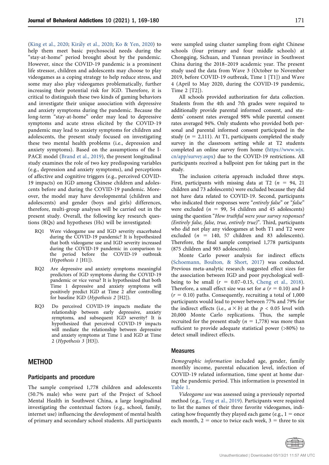[\(King et al., 2020](#page-11-1); [Kir](#page-11-15)a[ly et al., 2020](#page-11-15); [Ko & Yen, 2020\)](#page-11-2) to help them meet basic psychosocial needs during the "stay-at-home" period brought about by the pandemic. However, since the COVID-19 pandemic is a prominent life stressor, children and adolescents may choose to play videogames as a coping strategy to help reduce stress, and some may also play videogames problematically, further increasing their potential risk for IGD. Therefore, it is critical to distinguish these two kinds of gaming behaviors and investigate their unique association with depressive and anxiety symptoms during the pandemic. Because the long-term "stay-at-home" order may lead to depressive symptoms and acute stress elicited by the COVID-19 pandemic may lead to anxiety symptoms for children and adolescents, the present study focused on investigating these two mental health problems (i.e., depression and anxiety symptoms). Based on the assumptions of the I-PACE model ([Brand et al., 2019](#page-10-6)), the present longitudinal study examines the role of two key predisposing variables (e.g., depression and anxiety symptoms), and perceptions of affective and cognitive triggers (e.g., perceived COVID-19 impacts) on IGD among Chinese children and adolescents before and during the COVID-19 pandemic. Moreover, the model may have developmental (children and adolescents) and gender (boys and girls) differences, therefore, multi-group analyses will be carried out in the present study. Overall, the following key research questions (RQs) and hypotheses (Hs) will be investigated:

- RQ1 Were videogame use and IGD severity exacerbated during the COVID-19 pandemic? It is hypothesized that both videogame use and IGD severity increased during the COVID-19 pandemic in comparison to the period before the COVID-19 outbreak (Hypothesis 1 [H1]).
- RQ2 Are depressive and anxiety symptoms meaningful predictors of IGD symptoms during the COVID-19 pandemic or vice versa? It is hypothesized that both Time 1 depressive and anxiety symptoms will positively predict IGD at Time 2 after controlling for baseline IGD (Hypothesis 2 [H2]).
- RQ3 Do perceived COVID-19 impacts mediate the relationship between early depressive, anxiety symptoms, and subsequent IGD severity? It is hypothesized that perceived COVID-19 impacts will mediate the relationship between depressive and anxiety symptoms at Time 1 and IGD at Time 2 (Hypothesis 3 [H3]).

# **METHOD**

#### Participants and procedure

The sample comprised 1,778 children and adolescents (50.7% male) who were part of the Project of School Mental Health in Southwest China, a large longitudinal investigating the contextual factors (e.g., school, family, internet use) influencing the development of mental health of primary and secondary school students. All participants were sampled using cluster sampling from eight Chinese schools (four primary and four middle schools) at Chongqing, Sichuan, and Yunnan province in Southwest China during the 2018–2019 academic year. The present study used the data from Wave 3 (October to November 2019, before COVID-19 outbreak, Time 1 [T1]) and Wave 4 (April to May 2020, during the COVID-19 pandemic, Time 2 [T2]).

All schools provided authorization for data collection. Students from the 4th and 7th grades were required to additionally provide parental informed consent, and students' consent rates averaged 98% while parental consent rates averaged 94%. Only students who provided both personal and parental informed consent participated in the study ( $n = 2,111$ ). At T1, participants completed the study survey in the classroom setting while at T2 students completed an online survey from home ([https://www.wjx.](https://www.wjx.cn/app/survey.aspx) [cn/app/survey.aspx](https://www.wjx.cn/app/survey.aspx)) due to the COVID-19 restrictions. All participants received a ballpoint pen for taking part in the study.

The inclusion criteria approach included three steps. First, participants with missing data at T2 ( $n = 94, 21$ ) children and 73 adolescents) were excluded because they did not have data related to COVID-19. Second, participants who indicated their responses were "entirely false" or "false" were excluded ( $n = 99, 54$  children and 45 adolescents) using the question "How truthful were your survey responses? (Entirely false, false, true, entirely true)". Third, participants who did not play any videogames at both T1 and T2 were excluded ( $n = 140, 57$  children and 83 adolescents). Therefore, the final sample comprised 1,778 participants (875 children and 903 adolescents).

Monte Carlo power analysis for indirect effects [\(Schoemann, Boulton, & Short, 2017\)](#page-12-8) was conducted. Previous meta-analytic research suggested effect sizes for the association between IGD and poor psychological wellbeing to be small  $(r = 0.07-0.15,$  [Cheng et al., 2018](#page-10-3)). Therefore, a small effect size was set for  $a$  ( $r = 0.10$ ) and b  $(r = 0.10)$  paths. Consequently, recruiting a total of 1,000 participants would lead to power between 77% and 79% for the indirect effects (i.e.,  $a \times b$ ) at the  $p < 0.05$  level with 20,000 Monte Carlo replications. Thus, the sample recruited for the present study ( $n = 1,778$ ) was more than sufficient to provide adequate statistical power (>80%) to detect small indirect effects.

#### Measures

Demographic information included age, gender, family monthly income, parental education level, infection of COVID-19 related information, time spent at home during the pandemic period. This information is presented in [Table 1](#page-4-0).

Videogame use was assessed using a previously reported method (e.g., [Teng et al., 2019](#page-12-9)). Participants were required to list the names of their three favorite videogames, indicating how frequently they played each game (e.g.,  $1 =$  once each month,  $2 =$  once to twice each week,  $3 =$  three to six

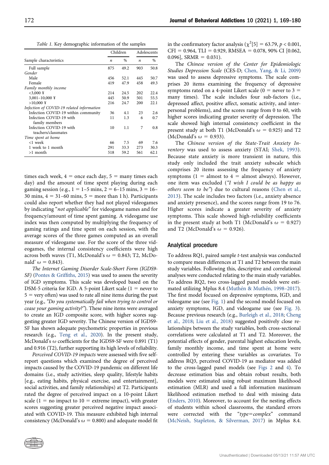Table 1. Key demographic information of the samples

<span id="page-4-0"></span>

|                                           |     | Children      | Adolescents      |      |
|-------------------------------------------|-----|---------------|------------------|------|
| Sample characteristics                    | n   | $\frac{0}{0}$ | $\boldsymbol{n}$ | $\%$ |
| Full sample                               | 875 | 49.2          | 903              | 50.8 |
| Gender                                    |     |               |                  |      |
| Male                                      | 456 | 52.1          | 445              | 50.7 |
| Female                                    | 419 | 47.9          | 458              | 49.3 |
| Family monthly income                     |     |               |                  |      |
| $<$ 3,000 ¥                               | 214 | 24.5          | 202              | 22.4 |
| $3,001 - 10,000 \text{ Y}$                | 445 | 50.9          | 501              | 55.5 |
| $>10,000 \text{ }$                        | 216 | 24.7          | 200              | 22.1 |
| Infection of COVID-19 related information |     |               |                  |      |
| Infection COVID-19 within community       | 36  | 4.1           | 23               | 2.6  |
| Infection COVID-19 with                   | 11  | 1.3           | 6                | 0.7  |
| family members                            |     |               |                  |      |
| Infection COVID-19 with                   | 10  | 1.1           | 7                | 0.8  |
| teachers/classmates                       |     |               |                  |      |
| Time spent at home                        |     |               |                  |      |
| <1 week                                   | 66  | 7.5           | 69               | 7.6  |
| 1 week to 1 month                         | 291 | 33.3          | 273              | 30.3 |
| $>1$ month                                | 518 | 59.2          | 561              | 62.1 |

times each week,  $4 =$  once each day,  $5 =$  many times each day) and the amount of time spent playing during each gaming session (e.g.,  $1 = 1-5$  mins,  $2 = 6-15$  mins,  $3 = 16-$ 30 mins,  $4 = 31-60$  mins,  $5 =$  more than 1 h). Participants could also report whether they had not played videogames by indicating "not applicable" for videogame names and for frequency/amount of time spent gaming. A videogame use index was then computed by multiplying the frequency of gaming ratings and time spent on each session, with the average scores of the three games computed as an overall measure of videogame use. For the score of the three videogames, the internal consistency coefficients were high across both waves (T1, McDonald's  $\omega = 0.843$ ; T2, McDonald'  $\omega = 0.843$ ).

The Internet Gaming Disorder Scale-Short Form (IGDS9- SF) [\(Pontes & Grif](#page-11-16)fiths, 2015) was used to assess the severity of IGD symptoms. This scale was developed based on the DSM-5 criteria for IGD. A 5-point Likert scale ( $1 =$  never to  $5 =$  very often) was used to rate all nine items during the past year (e.g., "Do you systematically fail when trying to control or cease your gaming activity?"). These nine items were averaged to create an IGD composite score, with higher scores suggesting greater IGD severity. The Chinese version of IGDS9- SF has shown adequate psychometric properties in previous research (e.g., [Teng et al., 2020](#page-12-5)). In the present study, McDonald's  $\omega$  coefficients for the IGDS9-SF were 0.891 (T1) and 0.916 (T2), further supporting its high levels of reliability.

Perceived COVID-19 impacts were assessed with five selfreport questions which examined the degree of perceived impacts caused by the COVID-19 pandemic on different life domains (i.e., study activities, sleep quality, lifestyle habits [e.g., eating habits, physical exercise, and entertainment], social activities, and family relationships) at T2. Participants rated the degree of perceived impact on a 10-point Likert scale ( $1 =$  no impact to  $10 =$  extreme impact), with greater scores suggesting greater perceived negative impact associated with COVID-19. This measure exhibited high internal consistency (McDonald's  $\omega = 0.800$ ) and adequate model fit

in the confirmatory factor analysis ( $\chi^2$ [5] = 63.79, p < 0.001,  $CFI = 0.964$ , TLI = 0.929, RMSEA = 0.078, 90% CI [0.062,  $0.096$ ], SRMR = 0.031).

The Chinese version of the Center for Epidemiologic Studies Depression Scale (CES-D; [Chen, Yang, & Li, 2009](#page-10-8)) was used to assess depressive symptoms. The scale comprises 20 items examining the frequency of depressive symptoms rated on a 4-point Likert scale ( $0 =$  never to 3  $=$ many times). The scale includes four sub-factors (i.e., depressed affect, positive affect, somatic activity, and interpersonal problems), and the scores range from 0 to 60, with higher scores indicating greater severity of depression. The scale showed high internal consistency coefficient in the present study at both T1 (McDonald's  $\omega = 0.925$ ) and T2 (McDonald's  $\omega = 0.933$ ).

The Chinese version of the State-Trait Anxiety Inventory was used to assess anxiety (STAI; [Shek, 1993\)](#page-12-10). Because state anxiety is more transient in nature, this study only included the trait anxiety subscale which comprises 20 items assessing the frequency of anxiety symptoms ( $1 =$  almost to  $4 =$  almost always). However, one item was excluded ("I wish I could be as happy as others seem to be") due to cultural reasons ([Chen et al.,](#page-10-9) [2013](#page-10-9)). The scale includes two factors (i.e., anxiety absence and anxiety presence), and the scores range from 19 to 76. Higher scores indicate a greater severity of anxiety symptoms. This scale showed high-reliability coefficients in the present study at both T1 (McDonald's  $\omega = 0.927$ ) and T2 (McDonald's  $\omega = 0.926$ ).

#### Analytical procedure

To address RQ1, paired sample t-test analysis was conducted to compare mean differences at T1 and T2 between the main study variables. Following this, descriptive and correlational analyses were conducted relating to the main study variables. To address RQ2, two cross-lagged panel models were esti-mated utilizing Mplus 8.4 [\(Muth](#page-11-17)é[n & Muth](#page-11-17)é[n, 1998](#page-11-17)-[2017\)](#page-11-17). The first model focused on depressive symptoms, IGD, and videogame use (see [Fig. 1](#page-5-0)) and the second model focused on anxiety symptoms, IGD, and videogame use (see [Fig. 3\)](#page-6-0). Because previous research (e.g., [Burleigh et al., 2018](#page-10-5); [Cheng](#page-10-3) [et al., 2018](#page-10-3); [Liu et al., 2018](#page-11-12)) suggested positively close relationships between the study variables, both cross-sectional correlations were calculated at T1 and T2. Moreover, the potential effects of gender, parental highest education levels, family monthly income, and time spent at home were controlled by entering these variables as covariates. To address RQ3, perceived COVID-19 as mediator was added to the cross-lagged panel models (see [Figs 2](#page-5-1) and [4\)](#page-6-1). To decrease estimation bias and obtain robust results, both models were estimated using robust maximum likelihood estimation (MLR) and used a full information maximum likelihood estimation method to deal with missing data ([Enders, 2010\)](#page-10-10). Moreover, to account for the nesting effects of students within school classrooms, the standard errors were corrected with the "type=complex" command ([McNeish, Stapleton, & Silverman, 2017](#page-11-18)) in Mplus 8.4.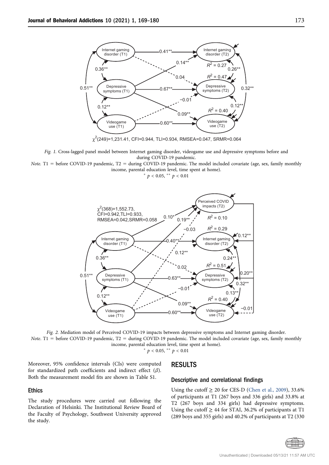<span id="page-5-0"></span>

Fig. 1. Cross-lagged panel model between Internet gaming disorder, videogame use and depressive symptoms before and during COVID-19 pandemic.

<span id="page-5-1"></span>Note. T1 = before COVID-19 pandemic, T2 = during COVID-19 pandemic. The model included covariate (age, sex, family monthly income, parental education level, time spent at home).

\*  $p < 0.05$ , \*\*  $p < 0.01$ 



Fig. 2. Mediation model of Perceived COVID-19 impacts between depressive symptoms and Internet gaming disorder. Note. T1 = before COVID-19 pandemic, T2 = during COVID-19 pandemic. The model included covariate (age, sex, family monthly income, parental education level, time spent at home).

\*  $p < 0.05$ , \*\*  $p < 0.01$ 

Moreover, 95% confidence intervals (CIs) were computed for standardized path coefficients and indirect effect  $(\beta)$ . Both the measurement model fits are shown in Table S1.

#### Ethics

The study procedures were carried out following the Declaration of Helsinki. The Institutional Review Board of the Faculty of Psychology, Southwest University approved the study.

## RESULTS

#### Descriptive and correlational findings

Using the cutoff  $\geq 20$  for CES-D ([Chen et al., 2009](#page-10-8)), 33.6% of participants at T1 (267 boys and 336 girls) and 33.8% at T2 (267 boys and 334 girls) had depressive symptoms. Using the cutoff  $\geq$  44 for STAI, 36.2% of participants at T1 (289 boys and 355 girls) and 40.2% of participants at T2 (330

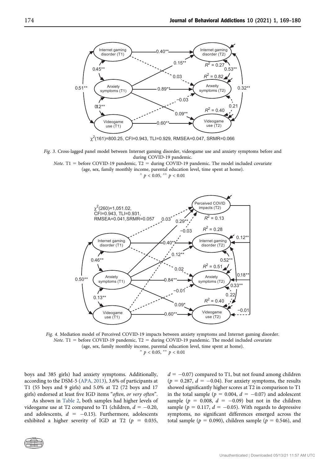<span id="page-6-0"></span>

Fig. 3. Cross-lagged panel model between Internet gaming disorder, videogame use and anxiety symptoms before and during COVID-19 pandemic.

<span id="page-6-1"></span>*Note.* T1 = before COVID-19 pandemic, T2 = during COVID-19 pandemic. The model included covariate (age, sex, family monthly income, parental education level, time spent at home).

\*  $p < 0.05$ , \*\*  $p < 0.01$ 



Fig. 4. Mediation model of Perceived COVID-19 impacts between anxiety symptoms and Internet gaming disorder. Note. T1 = before COVID-19 pandemic, T2 = during COVID-19 pandemic. The model included covariate (age, sex, family monthly income, parental education level, time spent at home). \*  $p < 0.05$ , \*\*  $p < 0.01$ 

boys and 385 girls) had anxiety symptoms. Additionally, according to the DSM-5 ([APA, 2013\)](#page-10-2), 3.6% of participants at T1 (55 boys and 9 girls) and 5.0% at T2 (72 boys and 17 girls) endorsed at least five IGD items "often, or very often".

As shown in [Table 2](#page-7-0), both samples had higher levels of videogame use at T2 compared to T1 (children,  $d = -0.20$ , and adolescents,  $d = -0.15$ ). Furthermore, adolescents exhibited a higher severity of IGD at T2 ( $p = 0.035$ ,

 $d = -0.07$ ) compared to T1, but not found among children  $(p = 0.287, d = -0.04)$ . For anxiety symptoms, the results showed significantly higher scores at T2 in comparison to T1 in the total sample ( $p = 0.004$ ,  $d = -0.07$ ) and adolescent sample ( $p = 0.008$ ,  $d = -0.09$ ) but not in the children sample ( $p = 0.117$ ,  $d = -0.05$ ). With regards to depressive symptoms, no significant differences emerged across the total sample ( $p = 0.090$ ), children sample ( $p = 0.546$ ), and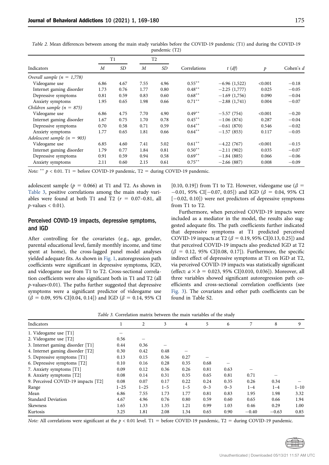| Indicators                      | T1                                                             |      | T <sub>2</sub> |      |           |                |         |         |
|---------------------------------|----------------------------------------------------------------|------|----------------|------|-----------|----------------|---------|---------|
|                                 | <b>SD</b><br><b>SD</b><br>$\boldsymbol{M}$<br>$\boldsymbol{M}$ |      | Correlations   | t(d) | p         | Cohen's $d$    |         |         |
| Overall sample $(n = 1,778)$    |                                                                |      |                |      |           |                |         |         |
| Videogame use                   | 6.86                                                           | 4.67 | 7.55           | 4.96 | $0.55***$ | $-6.96(1,522)$ | < 0.001 | $-0.18$ |
| Internet gaming disorder        | 1.73                                                           | 0.76 | 1.77           | 0.80 | $0.48***$ | $-2.25(1,777)$ | 0.025   | $-0.05$ |
| Depressive symptoms             | 0.81                                                           | 0.59 | 0.83           | 0.60 | $0.68***$ | $-1.69(1,756)$ | 0.090   | $-0.04$ |
| Anxiety symptoms                | 1.95                                                           | 0.65 | 1.98           | 0.66 | $0.71***$ | $-2.88(1,741)$ | 0.004   | $-0.07$ |
| Children sample ( $n = 875$ )   |                                                                |      |                |      |           |                |         |         |
| Videogame use                   | 6.86                                                           | 4.75 | 7.70           | 4.90 | $0.49**$  | $-5.57(754)$   | < 0.001 | $-0.20$ |
| Internet gaming disorder        | 1.67                                                           | 0.75 | 1.70           | 0.78 | $0.45***$ | $-1.06(874)$   | 0.287   | $-0.04$ |
| Depressive symptoms             | 0.70                                                           | 0.58 | 0.71           | 0.59 | $0.64***$ | $-0.61(870)$   | 0.546   | $-0.02$ |
| Anxiety symptoms                | 1.77                                                           | 0.65 | 1.81           | 0.66 | $0.64***$ | $-1.57(853)$   | 0.117   | $-0.05$ |
| Adolescent sample ( $n = 903$ ) |                                                                |      |                |      |           |                |         |         |
| Videogame use                   | 6.85                                                           | 4.60 | 7.41           | 5.02 | $0.61***$ | $-4.22(767)$   | < 0.001 | $-0.15$ |
| Internet gaming disorder        | 1.79                                                           | 0.77 | 1.84           | 0.81 | $0.50**$  | $-2.11(902)$   | 0.035   | $-0.07$ |
| Depressive symptoms             | 0.91                                                           | 0.59 | 0.94           | 0.58 | $0.69**$  | $-1.84(885)$   | 0.066   | $-0.06$ |
| Anxiety symptoms                | 2.11                                                           | 0.60 | 2.15           | 0.61 | $0.75***$ | $-2.66(887)$   | 0.008   | $-0.09$ |

<span id="page-7-0"></span>Table 2. Mean differences between among the main study variables before the COVID-19 pandemic (T1) and during the COVID-19 pandemic (T2)

Note: \*\*  $p < 0.01$ . T1 = before COVID-19 pandemic, T2 = during COVID-19 pandemic.

adolescent sample ( $p = 0.066$ ) at T1 and T2. As shown in [Table 3,](#page-7-1) positive correlations among the main study variables were found at both T1 and T2 ( $r = 0.07-0.81$ , all  $p$ -values < 0.01).

## Perceived COVID-19 impacts, depressive symptoms, and IGD

After controlling for the covariates (e.g., age, gender, parental educational level, family monthly income, and time spent at home), the cross-lagged panel model analyses yielded adequate fits. As shown in Fig. 1, autoregression path coefficients were significant in depressive symptoms, IGD, and videogame use from T1 to T2. Cross-sectional correlation coefficients were also significant both in T1 and T2 (all  $p$ -values<0.01). The paths further suggested that depressive symptoms were a significant predictor of videogame use  $(\beta = 0.09, 95\% \text{ CI}[0.04, 0.14])$  and IGD ( $\beta = 0.14, 95\% \text{ CI}$  [0.10, 0.19]) from T1 to T2. However, videogame use ( $\beta$  =  $-0.01$ , 95% CI[ $-0.07$ , 0.05]) and IGD ( $\beta = 0.04$ , 95% CI  $[-0.02, 0.10]$ ) were not predictors of depressive symptoms from T1 to T2.

Furthermore, when perceived COVID-19 impacts were included as a mediator in the model, the results also suggested adequate fits. The path coefficients further indicated that depressive symptoms at T1 predicted perceived COVID-19 impacts at T2 ( $\beta$  = 0.19, 95% CI[0.13, 0.25]) and that perceived COVID-19 impacts also predicted IGD at T2  $(\beta = 0.12, 95\% \text{ CI}[0.08, 0.17])$ . Furthermore, the specific indirect effect of depressive symptoms at T1 on IGD at T2, via perceived COVID-19 impacts was statistically significant (effect:  $a \times b = 0.023$ , 95% CI[0.010, 0.036]). Moreover, all three variables showed significant autoregression path coefficients and cross-sectional correlation coefficients (see Fig. 3). The covariates and other path coefficients can be found in Table S2.

<span id="page-7-1"></span>

| Indicators                         |          | 2        | 3       | 4       | 5       | 6       | 7       | 8       | 9        |
|------------------------------------|----------|----------|---------|---------|---------|---------|---------|---------|----------|
| 1. Videogame use [T1]              |          |          |         |         |         |         |         |         |          |
| 2. Videogame use [T2]              | 0.56     |          |         |         |         |         |         |         |          |
| 3. Internet gaming disorder [T1]   | 0.44     | 0.36     |         |         |         |         |         |         |          |
| 4. Internet gaming disorder [T2]   | 0.30     | 0.42     | 0.48    |         |         |         |         |         |          |
| 5. Depressive symptoms [T1]        | 0.13     | 0.15     | 0.36    | 0.27    |         |         |         |         |          |
| 6. Depressive symptoms [T2]        | 0.10     | 0.16     | 0.28    | 0.35    | 0.68    |         |         |         |          |
| 7. Anxiety symptoms [T1]           | 0.09     | 0.12     | 0.36    | 0.26    | 0.81    | 0.63    |         |         |          |
| 8. Anxiety symptoms [T2]           | 0.08     | 0.14     | 0.31    | 0.35    | 0.65    | 0.81    | 0.71    |         |          |
| 9. Perceived COVID-19 impacts [T2] | 0.08     | 0.07     | 0.17    | 0.22    | 0.24    | 0.35    | 0.26    | 0.34    |          |
| Range                              | $1 - 25$ | $1 - 25$ | $1 - 5$ | $1 - 5$ | $0 - 3$ | $0 - 3$ | $1 - 4$ | $1 - 4$ | $1 - 10$ |
| Mean                               | 6.86     | 7.55     | 1.73    | 1.77    | 0.81    | 0.83    | 1.95    | 1.98    | 3.32     |
| <b>Standard Deviation</b>          | 4.67     | 4.96     | 0.76    | 0.80    | 0.59    | 0.60    | 0.65    | 0.66    | 1.94     |
| Skewness                           | 1.65     | 1.33     | 1.35    | 1.21    | 0.99    | 1.03    | 0.46    | 0.29    | 1.00     |
| Kurtosis                           | 3.25     | 1.81     | 2.08    | 1.34    | 0.65    | 0.90    | $-0.40$ | $-0.63$ | 0.85     |

Table 3. Correlation matrix between the main variables of the study

Note: All correlations were significant at the  $p < 0.01$  level. T1 = before COVID-19 pandemic, T2 = during COVID-19 pandemic.

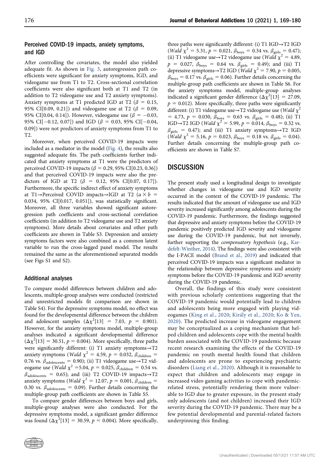## Perceived COVID-19 impacts, anxiety symptoms, and IGD

After controlling the covariates, the model also yielded adequate fit. As shown in Fig. 3, autoregression path coefficients were significant for anxiety symptoms, IGD, and videogame use from T1 to T2. Cross-sectional correlation coefficients were also significant both at T1 and T2 (in addition to T2 videogame use and T2 anxiety symptoms). Anxiety symptoms at T1 predicted IGD at T2 ( $\beta = 0.15$ , 95% CI[0.09, 0.21]) and videogame use at T2 ( $\beta = 0.09$ , 95% CI[0.04, 0.14]). However, videogame use ( $\beta = -0.03$ , 95% CI[-0.12, 0.07]) and IGD ( $\beta$  = 0.03, 95% CI[-0.04, 0.09]) were not predictors of anxiety symptoms from T1 to T2.

Moreover, when perceived COVID-19 impacts were included as a mediator in the model (Fig. 4), the results also suggested adequate fits. The path coefficients further indicated that anxiety symptoms at T1 were the predictors of perceived COVID-19 impacts ( $\beta = 0.29, 95\%$  CI[0.23, 0.36]) and that perceived COVID-19 impacts were also the predictors of IGD at T2 ( $\beta$  = 0.12, 95% CI[0.07, 0.17]). Furthermore, the specific indirect effect of anxiety symptoms at T1→Perceived COVID impacts→IGD at T2 ( $a \times b =$ 0.034, 95% CI[0.017, 0.051]), was statistically significant. Moreover, all three variables showed significant autoregression path coefficients and cross-sectional correlation coefficients (in addition to T2 videogame use and T2 anxiety symptoms). More details about covariates and other path coefficients are shown in Table S3. Depression and anxiety symptoms factors were also combined as a common latent variable to run the cross-lagged panel model. The results remained the same as the aforementioned separated models (see Figs S1 and S2).

### Additional analyses

To compare model differences between children and adolescents, multiple-group analyses were conducted (restricted and unrestricted models fit comparison are shown in Table S4). For the depressive symptoms model, no effect was found for the developmental difference between the children and adolescent samples  $(\Delta \chi^2[13] = 7.03, p = 0.901)$ . However, for the anxiety symptoms model, multiple-group analyses indicated a significant developmental difference  $(\Delta \chi^2[13] = 30.51, p = 0.004)$ . More specifically, three paths were significantly different: (i) T1 anxiety symptoms→T2 anxiety symptoms (*Wald*  $\chi^2$  = 4.59, p = 0.032,  $\beta_{\text{children}}$  = 0.76 vs.  $\beta_{\text{adolescents}} = 0.90$ ); (ii) T1 videogame use→T2 videogame use (*Wald*  $\chi^2$  =5.04,  $p = 0.025$ ,  $\beta_{\text{children}} = 0.54$  vs.  $\beta_{\text{adolescents}} = 0.65$ ); and (iii) T2 COVID-19 impacts→T2 anxiety symptoms (Wald  $\chi^2 = 12.07$ ,  $p = 0.001$ ,  $\beta_{\text{children}} =$ 0.30 vs.  $\beta_{\text{adolescents}} = 0.09$ ). Further details concerning the multiple-group path coefficients are shown in Table S5.

To compare gender differences between boys and girls, multiple-group analyses were also conducted. For the depressive symptoms model, a significant gender difference was found  $(\Delta \chi^2[13] = 30.59, p = 0.004)$ . More specifically,

three paths were significantly different: (i) T1 IGD→T2 IGD (Wald  $\chi^2 = 5.31$ ,  $p = 0.021$ ,  $\beta_{\text{boys}} = 0.34$  vs.  $\beta_{\text{girls}} = 0.47$ ); (ii) T1 videogame use→T2 videogame use (Wald  $\chi^2 = 4.89$ ,  $p = 0.027$ ,  $\beta_{\text{boys}} = 0.64$  vs.  $\beta_{\text{girls}} = 0.49$ ); and (iii) T1 depressive symptoms→T2 IGD (Wald  $\chi^2$  = 7.90, p = 0.005,  $\beta_{\text{boys}} = 0.17$  vs.  $\beta_{\text{girls}} = 0.06$ ). Further details concerning the multiple-group path coefficients are shown in Table S6. For the anxiety symptoms model, multiple-group analyses indicated a significant gender difference  $(\Delta \chi^2[13] = 27.09,$  $p = 0.012$ ). More specifically, three paths were significantly different: (i) T1 videogame use→T2 videogame use (Wald  $\chi^2$  $= 4.73, p = 0.030, \beta_{\text{boys}} = 0.63 \text{ vs. } \beta_{\text{girls}} = 0.48$ ); (ii) T1 IGD→T2 IGD (Wald  $\chi^2$  = 5.99,  $p = 0.014$ ,  $\beta_{\text{boys}} = 0.32$  vs.  $\beta_{\text{orils}} = 0.47$ ); and (iii) T1 anxiety symptoms→T2 IGD (Wald  $\chi^2 = 5.16$ ,  $p = 0.023$ ,  $\beta_{\text{boys}} = 0.18$  vs.  $\beta_{\text{girls}} = 0.04$ ). Further details concerning the multiple-group path coefficients are shown in Table S7.

# **DISCUSSION**

The present study used a longitudinal design to investigate whether changes in videogame use and IGD severity occurred in the context of the COVID-19 pandemic. The results indicated that the amount of videogame use and IGD severity increased significantly among adolescents during the COVID-19 pandemic. Furthermore, the findings suggested that depressive and anxiety symptoms before the COVID-19 pandemic positively predicted IGD severity and videogame use during the COVID-19 pandemic, but not inversely, further supporting the compensatory hypothesis (e.g., [Kar](#page-11-6)[defelt-Winther, 2014\)](#page-11-6). The findings were also consistent with the I-PACE model ([Brand et al., 2019\)](#page-10-6) and indicated that perceived COVID-19 impacts was a significant mediator in the relationship between depressive symptoms and anxiety symptoms before the COVID-19 pandemic and IGD severity during the COVID-19 pandemic.

Overall, the findings of this study were consistent with previous scholarly contentions suggesting that the COVID-19 pandemic would potentially lead to children and adolescents being more engaged with playing videogames ([King et al., 2020;](#page-11-1) [Kir](#page-11-15)[aly et al., 2020;](#page-11-15) [Ko & Yen,](#page-11-2) [2020](#page-11-2)). The predicted increase in videogame engagement may be conceptualized as a coping mechanism that helped children and adolescents cope with the mental health burden associated with the COVID-19 pandemic because recent research examining the effects of the COVID-19 pandemic on youth mental health found that children and adolescents are prone to experiencing psychiatric disorders ([Liang et al., 2020\)](#page-11-19). Although it is reasonable to expect that children and adolescents may engage in increased video gaming activities to cope with pandemicrelated stress, potentially rendering them more vulnerable to IGD due to greater exposure, in the present study only adolescents (and not children) increased their IGD severity during the COVID-19 pandemic. There may be a few potential developmental and parental-related factors underpinning this finding.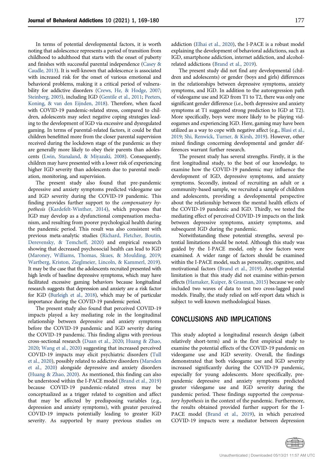In terms of potential developmental factors, it is worth noting that adolescence represents a period of transition from childhood to adulthood that starts with the onset of puberty and finishes with successful parental independence ([Casey &](#page-10-11) [Caudle, 2013\)](#page-10-11). It is well-known that adolescence is associated with increased risk for the onset of various emotional and behavioral problems, making it a critical period of vulnerability for addictive disorders [\(Crews, He, & Hodge, 2007;](#page-10-12) [Steinberg, 2005](#page-12-11)), including IGD [\(Gentile et al., 2011;](#page-11-5) [Peeters,](#page-11-20) [Koning, & van den Eijnden, 2018\)](#page-11-20). Therefore, when faced with COVID-19 pandemic-related stress, compared to children, adolescents may select negative coping strategies leading to the development of IGD via excessive and dysregulated gaming. In terms of parental-related factors, it could be that children benefitted more from the closer parental supervision received during the lockdown stage of the pandemic as they are generally more likely to obey their parents than adolescents [\(Lwin, Stanaland, & Miyazaki, 2008\)](#page-11-21). Consequently, children may have presented with a lower risk of experiencing higher IGD severity than adolescents due to parental mediation, monitoring, and supervision.

The present study also found that pre-pandemic depressive and anxiety symptoms predicted videogame use and IGD severity during the COVID-19 pandemic. This finding provides further support to the compensatory hypothesis [\(Kardefelt-Winther, 2014\)](#page-11-6), which proposes that IGD may develop as a dysfunctional compensation mechanism, and resulting from poorer psychological health during the pandemic period. This result was also consistent with previous meta-analytic studies ([Richard, Fletcher, Boutin,](#page-12-12) [Derevensky, & Temcheff, 2020](#page-12-12)) and empirical research showing that decreased psychosocial health can lead to IGD [\(Maroney, Williams, Thomas, Skues, & Moulding, 2019;](#page-11-22) [Wartberg, Kriston, Zieglmeier, Lincoln, & Kammerl, 2019](#page-12-13)). It may be the case that the adolescents recruited presented with high levels of baseline depressive symptoms, which may have facilitated excessive gaming behaviors because longitudinal research suggests that depression and anxiety are a risk factor for IGD [\(Burleigh et al., 2018\)](#page-10-5), which may be of particular importance during the COVID-19 pandemic period.

The present study also found that perceived COVID-19 impacts played a key mediating role in the longitudinal relationship between depressive and anxiety symptoms before the COVID-19 pandemic and IGD severity during the COVID-19 pandemic. This finding aligns with previous cross-sectional research ([Duan et al., 2020;](#page-10-1) [Huang & Zhao,](#page-11-23) [2020;](#page-11-23) [Wang et al., 2020\)](#page-12-3) suggesting that increased perceived COVID-19 impacts may elicit psychiatric disorders ([Tull](#page-12-7) [et al., 2020](#page-12-7)), possibly related to addictive disorders ([Marsden](#page-11-24) [et al., 2020](#page-11-24)) alongside depressive and anxiety disorders [\(Huang & Zhao, 2020\)](#page-11-23). As mentioned, this finding can also be understood within the I-PACE model ([Brand et al., 2019](#page-10-6)) because COVID-19 pandemic-related stress may be conceptualized as a trigger related to cognition and affect that may be affected by predisposing variables (e.g., depression and anxiety symptoms), with greater perceived COVID-19 impacts potentially leading to greater IGD severity. As supported by many previous studies on addiction ([Elhai et al., 2020](#page-10-7)), the I-PACE is a robust model explaining the development of behavioral addictions, such as IGD, smartphone addiction, internet addiction, and alcoholrelated addictions [\(Brand et al., 2019\)](#page-10-6).

The present study did not find any developmental (children and adolescents) or gender (boys and girls) differences in the relationships between depressive symptoms, anxiety symptoms, and IGD. In addition to the autoregression path of videogame use and IGD from T1 to T2, there was only one significant gender difference (i.e., both depressive and anxiety symptoms at T1 suggested strong prediction to IGD at T2). More specifically, boys were more likely to be playing videogames and experiencing IGD. Here, gaming may have been utilized as a way to cope with negative affect (e.g., [Blasi et al.,](#page-10-13) [2019;](#page-10-13) [Shi, Renwick, Turner, & Kirsh, 2019](#page-12-14)). However, other mixed findings concerning developmental and gender differences warrant further research.

The present study has several strengths. Firstly, it is the first longitudinal study, to the best of our knowledge, to examine how the COVID-19 pandemic may influence the development of IGD, depressive symptoms, and anxiety symptoms. Secondly, instead of recruiting an adult or a community-based sample, we recruited a sample of children and adolescents, providing a developmental perspective about the relationship between the mental health effects of the COVID-19 pandemic and IGD. Thirdly, we tested the mediating effect of perceived COVID-19 impacts on the link between depressive symptoms, anxiety symptoms, and subsequent IGD during the pandemic.

Notwithstanding these potential strengths, several potential limitations should be noted. Although this study was guided by the I-PACE model, only a few factors were examined. A wider range of factors should be examined within the I-PACE model, such as personality, cognitive, and motivational factors [\(Brand et al., 2019\)](#page-10-6). Another potential limitation is that this study did not examine within-person effects [\(Hamaker, Kuiper, & Grasman, 2015](#page-11-25)) because we only included two waves of data to test two cross-lagged panel models. Finally, the study relied on self-report data which is subject to well-known methodological biases.

## CONCLUSIONS AND IMPLICATIONS

This study adopted a longitudinal research design (albeit relatively short-term) and is the first empirical study to examine the potential effects of the COVID-19 pandemic on videogame use and IGD severity. Overall, the findings demonstrated that both videogame use and IGD severity increased significantly during the COVID-19 pandemic, especially for young adolescents. More specifically, prepandemic depressive and anxiety symptoms predicted greater videogame use and IGD severity during the pandemic period. These findings supported the compensatory hypothesis in the context of the pandemic. Furthermore, the results obtained provided further support for the I-PACE model [\(Brand et al., 2019](#page-10-6)), in which perceived COVID-19 impacts were a mediator between depression

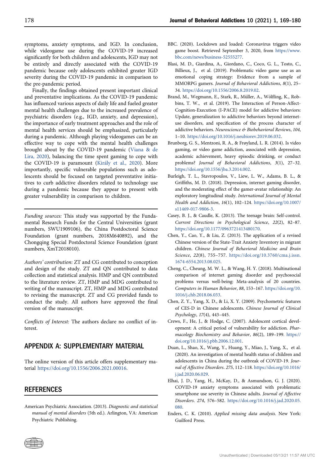symptoms, anxiety symptoms, and IGD. In conclusion, while videogame use during the COVID-19 increased significantly for both children and adolescents, IGD may not be entirely and directly associated with the COVID-19 pandemic because only adolescents exhibited greater IGD severity during the COVID-19 pandemic in comparison to the pre-pandemic period.

Finally, the findings obtained present important clinical and preventative implications. As the COVID-19 pandemic has influenced various aspects of daily life and fueled greater mental health challenges due to the increased prevalence of psychiatric disorders (e.g., IGD, anxiety, and depression), the importance of early treatment approaches and the role of mental health services should be emphasized, particularly during a pandemic. Although playing videogames can be an effective way to cope with the mental health challenges brought about by the COVID-19 pandemic ([Viana & de](#page-12-15) [Lira, 2020](#page-12-15)), balancing the time spent gaming to cope with the COVID-19 is paramount ([Kir](#page-11-15)[aly et al., 2020](#page-11-15)). More importantly, specific vulnerable populations such as adolescents should be focused on targeted preventative initiatives to curb addictive disorders related to technology use during a pandemic because they appear to present with greater vulnerability in comparison to children.

Funding sources: This study was supported by the Fundamental Research Funds for the Central Universities (grant numbers, SWU1909106), the China Postdoctoral Science Foundation (grant numbers, 2018M640892), and the Chongqing Special Postdoctoral Science Foundation (grant numbers, XmT2018010).

Authors' contribution: ZT and CG contributed to conception and design of the study. ZT and QN contributed to data collection and statistical analysis. HMP and QN contributed to the literature review. ZT, HMP and MDG contributed to writing of the manuscript. ZT, HMP and MDG contributed to revising the manuscript. ZT and CG provided funds to conduct the study. All authors have approved the final version of the manuscript.

Conflicts of Interest: The authors declare no conflict of interest.

# APPENDIX A: SUPPLEMENTARY MATERIAL

The online version of this article offers supplementary material [https://doi.org/10.1556/2006.2021.00016.](https://doi.org/10.1556/2006.2021.00016)

# **REFERENCES**

<span id="page-10-2"></span>American Psychiatric Association. (2013). Diagnostic and statistical manual of mental disorders (5th ed.). Arlington, VA: American Psychiatric Publishing.

- <span id="page-10-0"></span>BBC. (2020). Lockdown and loaded: Coronavirus triggers video game boost. Retrieved September 3, 2020, from [https://www.](https://www.bbc.com/news/business-52555277) [bbc.com/news/business-52555277](https://www.bbc.com/news/business-52555277).
- <span id="page-10-13"></span>Blasi, M. D., Giardina, A., Giordano, C., Coco, G. L., Tosto, C., Billieux, J., et al. (2019). Problematic video game use as an emotional coping strategy: Evidence from a sample of MMORPG gamers. Journal of Behavioral Addictions, 8(1), 25– 34. <https://doi.org/10.1556/2006.8.2019.02>.
- <span id="page-10-6"></span>Brand, M., Wegmann, E., Stark, R., Müller, A., Wölfling, K., Robbins, T. W., et al. (2019). The Interaction of Person-Affect-Cognition-Execution (I-PACE) model for addictive behaviors: Update, generalization to addictive behaviors beyond internetuse disorders, and specification of the process character of addictive behaviors. Neuroscience & Biobehavioral Reviews, 104, 1–10. <https://doi.org/10.1016/j.neubiorev.2019.06.032>.
- <span id="page-10-4"></span>Brunborg, G. S., Mentzoni, R. A., & Frøyland, L. R. (2014). Is video gaming, or video game addiction, associated with depression, academic achievement, heavy episodic drinking, or conduct problems? Journal of Behavioral Addictions, 3(1), 27–32. <https://doi.org/10.1556/jba.3.2014.002>.
- <span id="page-10-5"></span>Burleigh, T. L., Stavropoulos, V., Liew, L. W., Adams, B. L., & Griffiths, M. D. (2018). Depression, internet gaming disorder, and the moderating effect of the gamer-avatar relationship: An exploratory longitudinal study. International Journal of Mental Health and Addiction, 16(1), 102–124. [https://doi.org/10.1007/](https://doi.org/10.1007/s11469-017-9806-3) [s11469-017-9806-3.](https://doi.org/10.1007/s11469-017-9806-3)
- <span id="page-10-11"></span>Casey, B. J., & Caudle, K. (2013). The teenage brain: Self-control. Current Directions in Psychological Science, 22(2), 82–87. <https://doi.org/10.1177/0963721413480170>.
- <span id="page-10-9"></span>Chen, Y., Cao, Y., & Liu, Z. (2013). The application of a revised Chinese version of the State-Trait Anxiety Inventory in migrant children. Chinese Journal of Behavioral Medicine and Brain Science, 22(8), 755–757. [https://doi.org/10.3760/cma.j.issn.](https://doi.org/10.3760/cma.j.issn.1674-6554.2013.08.025) [1674-6554.2013.08.025.](https://doi.org/10.3760/cma.j.issn.1674-6554.2013.08.025)
- <span id="page-10-3"></span>Cheng, C., Cheung, M. W. L., & Wang, H. Y. (2018). Multinational comparison of internet gaming disorder and psychosocial problems versus well-being: Meta-analysis of 20 countries. Computers in Human Behavior, 88, 153–167. [https://doi.org/10.](https://doi.org/10.1016/j.chb.2018.06.033) [1016/j.chb.2018.06.033.](https://doi.org/10.1016/j.chb.2018.06.033)
- <span id="page-10-8"></span>Chen, Z. Y., Yang, X. D., & Li, X. Y. (2009). Psychometric features of CES-D in Chinese adolescents. Chinese Journal of Clinical Psychology, 17(4), 443–445.
- <span id="page-10-12"></span>Crews, F., He, J., & Hodge, C. (2007). Adolescent cortical development: A critical period of vulnerability for addiction. Pharmacology Biochemistry and Behavior, 86(2), 189–199. [https://](https://doi.org/10.1016/j.pbb.2006.12.001) [doi.org/10.1016/j.pbb.2006.12.001](https://doi.org/10.1016/j.pbb.2006.12.001).
- <span id="page-10-1"></span>Duan, L., Shao, X., Wang, Y., Huang, Y., Miao, J., Yang, X., et al. (2020). An investigation of mental health status of children and adolescents in China during the outbreak of COVID-19. Journal of Affective Disorders. 275, 112–118. [https://doi.org/10.1016/](https://doi.org/10.1016/j.jad.2020.06.029) [j.jad.2020.06.029](https://doi.org/10.1016/j.jad.2020.06.029).
- <span id="page-10-7"></span>Elhai, J. D., Yang, H., McKay, D., & Asmundson, G. J. (2020). COVID-19 anxiety symptoms associated with problematic smartphone use severity in Chinese adults. Journal of Affective Disorders. 274, 576–582. [https://doi.org/10.1016/j.jad.2020.05.](https://doi.org/10.1016/j.jad.2020.05.080) [080.](https://doi.org/10.1016/j.jad.2020.05.080)
- <span id="page-10-10"></span>Enders, C. K. (2010). Applied missing data analysis. New York: Guilford Press.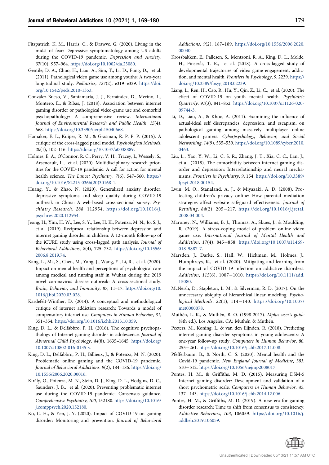- <span id="page-11-13"></span>Fitzpatrick, K. M., Harris, C., & Drawve, G. (2020). Living in the midst of fear: Depressive symptomatology among US adults during the COVID‐19 pandemic. Depression and Anxiety, 37(10), 957–964. <https://doi.org/10.1002/da.23080>.
- <span id="page-11-5"></span>Gentile, D. A., Choo, H., Liau, A., Sim, T., Li, D., Fung, D., et al. (2011). Pathological video game use among youths: A two-year longitudinal study. Pediatrics, 127(2), e319–e329. [https://doi.](https://doi.org/10.1542/peds.2010-1353) [org/10.1542/peds.2010-1353.](https://doi.org/10.1542/peds.2010-1353)
- <span id="page-11-8"></span>González-Bueso, V., Santamaría, J. J., Fernández, D., Merino, L., Montero, E., & Ribas, J. (2018). Association between internet gaming disorder or pathological video-game use and comorbid psychopathology: A comprehensive review. International Journal of Environmental Research and Public Health, 15(4), 668. <https://doi.org/10.3390/ijerph15040668>.
- <span id="page-11-25"></span>Hamaker, E. L., Kuiper, R. M., & Grasman, R. P. P. P. (2015). A critique of the cross-lagged panel model. Psychological Methods, 20(1), 102–116. <https://doi.org/10.1037/a0038889>.
- <span id="page-11-3"></span>Holmes, E. A., O'Connor, R. C., Perry, V. H., Tracey, I., Wessely, S., Arseneault, L., et al. (2020). Multidisciplinary research priorities for the COVID-19 pandemic: A call for action for mental health science. The Lancet Psychiatry, 7(6), 547–560. [https://](https://doi.org/10.1016/S2215-0366(20)30168-1) [doi.org/10.1016/S2215-0366\(20\)30168-1.](https://doi.org/10.1016/S2215-0366(20)30168-1)
- <span id="page-11-23"></span>Huang, Y., & Zhao, N. (2020). Generalized anxiety disorder, depressive symptoms and sleep quality during COVID-19 outbreak in China: A web-based cross-sectional survey. Psychiatry Research, 288, 112954. [https://doi.org/10.1016/j.](https://doi.org/10.1016/j.psychres.2020.112954) [psychres.2020.112954](https://doi.org/10.1016/j.psychres.2020.112954).
- <span id="page-11-10"></span>Jeong, H., Yim, H. W., Lee, S. Y., Lee, H. K., Potenza, M. N., Jo, S. J., et al. (2019). Reciprocal relationship between depression and internet gaming disorder in children: A 12-month follow-up of the iCURE study using cross-lagged path analysis. Journal of Behavioral Addictions, 8(4), 725–732. [https://doi.org/10.1556/](https://doi.org/10.1556/2006.8.2019.74) [2006.8.2019.74](https://doi.org/10.1556/2006.8.2019.74).
- <span id="page-11-14"></span>Kang, L., Ma, S., Chen, M., Yang, J., Wang, Y., Li, R., et al. (2020). Impact on mental health and perceptions of psychological care among medical and nursing staff in Wuhan during the 2019 novel coronavirus disease outbreak: A cross-sectional study. Brain, Behavior, and Immunity, 87, 11–17. [https://doi.org/10.](https://doi.org/10.1016/j.bbi.2020.03.028) [1016/j.bbi.2020.03.028](https://doi.org/10.1016/j.bbi.2020.03.028).
- <span id="page-11-6"></span>Kardefelt-Winther, D. (2014). A conceptual and methodological critique of internet addiction research: Towards a model of compensatory internet use. Computers in Human Behavior, 31, 351–354. [https://doi.org/10.1016/j.chb.2013.10.059.](https://doi.org/10.1016/j.chb.2013.10.059)
- <span id="page-11-9"></span>King, D. L., & Delfabbro, P. H. (2016). The cognitive psychopathology of Internet gaming disorder in adolescence. Journal of Abnormal Child Psychology, 44(8), 1635–1645. [https://doi.org/](https://doi.org/10.1007/s10802-016-0135-y) [10.1007/s10802-016-0135-y](https://doi.org/10.1007/s10802-016-0135-y).
- <span id="page-11-1"></span>King, D. L., Delfabbro, P. H., Billieux, J., & Potenza, M. N. (2020). Problematic online gaming and the COVID-19 pandemic. Journal of Behavioral Addictions. 9(2), 184–186. [https://doi.org/](https://doi.org/10.1556/2006.2020.00016) [10.1556/2006.2020.00016.](https://doi.org/10.1556/2006.2020.00016)
- <span id="page-11-15"></span>Kiraly, O., Potenza, M. N., Stein, D. J., King, D. L., Hodgins, D. C., Saunders, J. B., et al. (2020). Preventing problematic internet use during the COVID-19 pandemic: Consensus guidance. Comprehensive Psychiatry, 100, 152180. [https://doi.org/10.1016/](https://doi.org/10.1016/j.comppsych.2020.152180) [j.comppsych.2020.152180](https://doi.org/10.1016/j.comppsych.2020.152180).
- <span id="page-11-2"></span>Ko, C. H., & Yen, J. Y. (2020). Impact of COVID-19 on gaming disorder: Monitoring and prevention. Journal of Behavioral

Addictions, 9(2), 187–189. [https://doi.org/10.1556/2006.2020.](https://doi.org/10.1556/2006.2020.00040) [00040.](https://doi.org/10.1556/2006.2020.00040)

- <span id="page-11-11"></span>Krossbakken, E., Pallesen, S., Mentzoni, R. A., King, D. L., Molde, H., Finserås, T. R., et al. (2018). A cross-lagged study of developmental trajectories of video game engagement, addiction, and mental health. Frontiers in Psychology, 9, 2239. [https://](https://doi.org/10.3389/fpsyg.2018.02239) [doi.org/10.3389/fpsyg.2018.02239.](https://doi.org/10.3389/fpsyg.2018.02239)
- <span id="page-11-19"></span>Liang, L., Ren, H., Cao, R., Hu, Y., Qin, Z., Li, C., et al. (2020). The effect of COVID-19 on youth mental health. Psychiatric Quarterly, 91(3), 841–852. [https://doi.org/10.1007/s11126-020-](https://doi.org/10.1007/s11126-020-09744-3) [09744-3](https://doi.org/10.1007/s11126-020-09744-3).
- <span id="page-11-7"></span>Li, D., Liau, A., & Khoo, A. (2011). Examining the influence of actual-ideal self discrepancies, depression, and escapism, on pathological gaming among massively multiplayer online adolescent gamers. Cyberpsychology, Behavior, and Social Networking, 14(9), 535–539. [https://doi.org/10.1089/cyber.2010.](https://doi.org/10.1089/cyber.2010.0463) [0463.](https://doi.org/10.1089/cyber.2010.0463)
- <span id="page-11-12"></span>Liu, L., Yao, Y. W., Li, C. S. R., Zhang, J. T., Xia, C. C., Lan, J., et al. (2018). The comorbidity between internet gaming disorder and depression: Interrelationship and neural mechanisms. Frontiers in Psychiatry, 9, 154. [https://doi.org/10.3389/](https://doi.org/10.3389/fpsyt.2018.00154) [fpsyt.2018.00154](https://doi.org/10.3389/fpsyt.2018.00154).
- <span id="page-11-21"></span>Lwin, M. O., Stanaland, A. J., & Miyazaki, A. D. (2008). Protecting children's privacy online: How parental mediation strategies affect website safeguard effectiveness. Journal of Retailing, 84(2), 205-217. [https://doi.org/10.1016/j.jretai.](https://doi.org/10.1016/j.jretai.2008.04.004) [2008.04.004](https://doi.org/10.1016/j.jretai.2008.04.004).
- <span id="page-11-22"></span>Maroney, N., Williams, B. J., Thomas, A., Skues, J., & Moulding, R. (2019). A stress-coping model of problem online video game use. International Journal of Mental Health and Addiction, 17(4), 845-858. [https://doi.org/10.1007/s11469-](https://doi.org/10.1007/s11469-018-9887-7) [018-9887-7](https://doi.org/10.1007/s11469-018-9887-7).
- <span id="page-11-24"></span>Marsden, J., Darke, S., Hall, W., Hickman, M., Holmes, J., Humphreys, K., et al. (2020). Mitigating and learning from the impact of COVID-19 infection on addictive disorders. Addiction, 115(6), 1007-1010. [https://doi.org/10.1111/add.](https://doi.org/10.1111/add.15080) [15080](https://doi.org/10.1111/add.15080).
- <span id="page-11-18"></span>McNeish, D., Stapleton, L. M., & Silverman, R. D. (2017). On the unnecessary ubiquity of hierarchical linear modeling. Psychological Methods, 22(1), 114-140. [https://doi.org/10.1037/](https://doi.org/10.1037/met0000078) [met0000078](https://doi.org/10.1037/met0000078).
- <span id="page-11-17"></span>Muthén, L. K., & Muthén, B. O. (1998-2017). Mplus user's guide (8th ed.). Los Angeles, CA: Muthén & Muthén.
- <span id="page-11-20"></span>Peeters, M., Koning, I., & van den Eijnden, R. (2018). Predicting internet gaming disorder symptoms in young adolescents: A one-year follow-up study. Computers in Human Behavior, 80, 255261. <https://doi.org/10.1016/j.chb.2017.11.008>.
- <span id="page-11-0"></span>Pfefferbaum, B., & North, C. S. (2020). Mental health and the Covid-19 pandemic. New England Journal of Medicine, 383, 510512. [https://doi.org/10.1056/nejmp2008017.](https://doi.org/10.1056/nejmp2008017)
- <span id="page-11-16"></span>Pontes, H. M., & Griffiths, M. D. (2015). Measuring DSM-5 Internet gaming disorder: Development and validation of a short psychometric scale. Computers in Human Behavior, 45, 137-143. <https://doi.org/10.1016/j.chb.2014.12.006>.
- <span id="page-11-4"></span>Pontes, H. M., & Griffiths, M. D. (2019). A new era for gaming disorder research: Time to shift from consensus to consistency. Addictive Behaviors, 103, 106059. [https://doi.org/10.1016/j.](https://doi.org/10.1016/j.addbeh.2019.106059) [addbeh.2019.106059](https://doi.org/10.1016/j.addbeh.2019.106059).